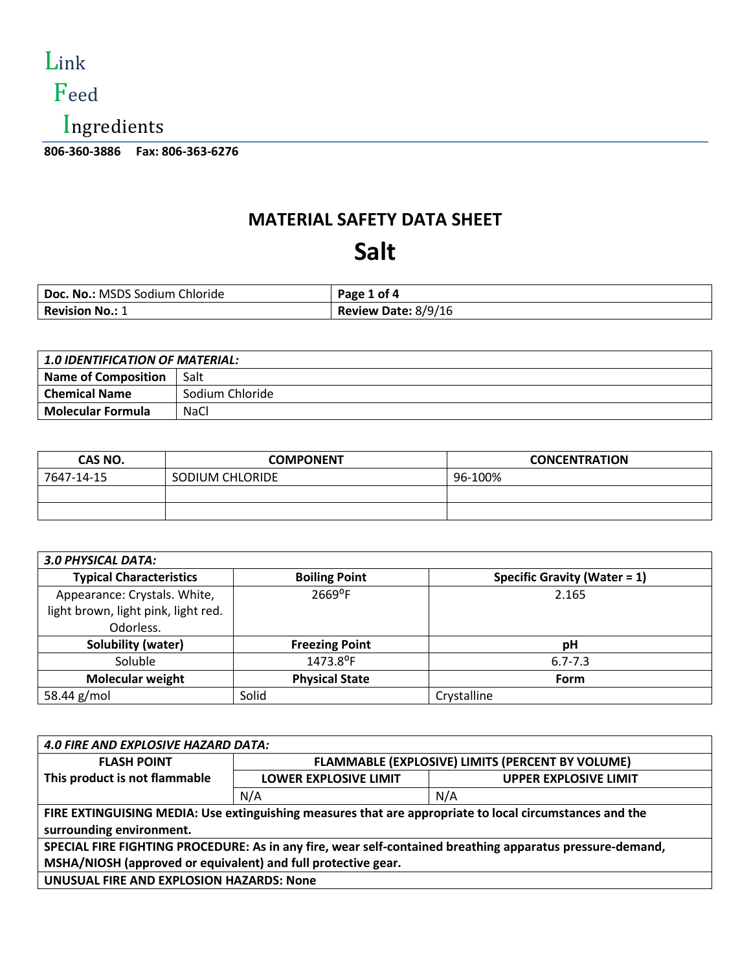

#### Feed

Ingredients

**806-360-3886 Fax: 806-363-6276** 

#### **MATERIAL SAFETY DATA SHEET**

#### **Salt**

| Doc. No.: MSDS Sodium Chloride | Page 1 of 4         |
|--------------------------------|---------------------|
| <b>Revision No.: 1</b>         | Review Date: 8/9/16 |

| <b>1.0 IDENTIFICATION OF MATERIAL:</b> |                 |
|----------------------------------------|-----------------|
| <b>Name of Composition</b>             | Salt            |
| <b>Chemical Name</b>                   | Sodium Chloride |
| <b>Molecular Formula</b>               | <b>NaCl</b>     |

| CAS NO.    | <b>COMPONENT</b> | <b>CONCENTRATION</b> |
|------------|------------------|----------------------|
| 7647-14-15 | SODIUM CHLORIDE  | 96-100%              |
|            |                  |                      |
|            |                  |                      |

| <b>3.0 PHYSICAL DATA:</b>           |                       |                                 |
|-------------------------------------|-----------------------|---------------------------------|
| <b>Typical Characteristics</b>      | <b>Boiling Point</b>  | Specific Gravity (Water = $1$ ) |
| Appearance: Crystals. White,        | 2669°F                | 2.165                           |
| light brown, light pink, light red. |                       |                                 |
| Odorless.                           |                       |                                 |
| Solubility (water)                  | <b>Freezing Point</b> | рH                              |
| Soluble                             | 1473.8°F              | $6.7 - 7.3$                     |
| <b>Molecular weight</b>             | <b>Physical State</b> | <b>Form</b>                     |
| 58.44 g/mol                         | Solid                 | Crystalline                     |

| <b>4.0 FIRE AND EXPLOSIVE HAZARD DATA:</b>                                                                |                                                  |                              |
|-----------------------------------------------------------------------------------------------------------|--------------------------------------------------|------------------------------|
| <b>FLASH POINT</b>                                                                                        | FLAMMABLE (EXPLOSIVE) LIMITS (PERCENT BY VOLUME) |                              |
| This product is not flammable                                                                             | <b>LOWER EXPLOSIVE LIMIT</b>                     | <b>UPPER EXPLOSIVE LIMIT</b> |
|                                                                                                           | N/A                                              | N/A                          |
| FIRE EXTINGUISING MEDIA: Use extinguishing measures that are appropriate to local circumstances and the   |                                                  |                              |
| surrounding environment.                                                                                  |                                                  |                              |
| SPECIAL FIRE FIGHTING PROCEDURE: As in any fire, wear self-contained breathing apparatus pressure-demand, |                                                  |                              |
| MSHA/NIOSH (approved or equivalent) and full protective gear.                                             |                                                  |                              |
| UNUSUAL FIRE AND EXPLOSION HAZARDS: None                                                                  |                                                  |                              |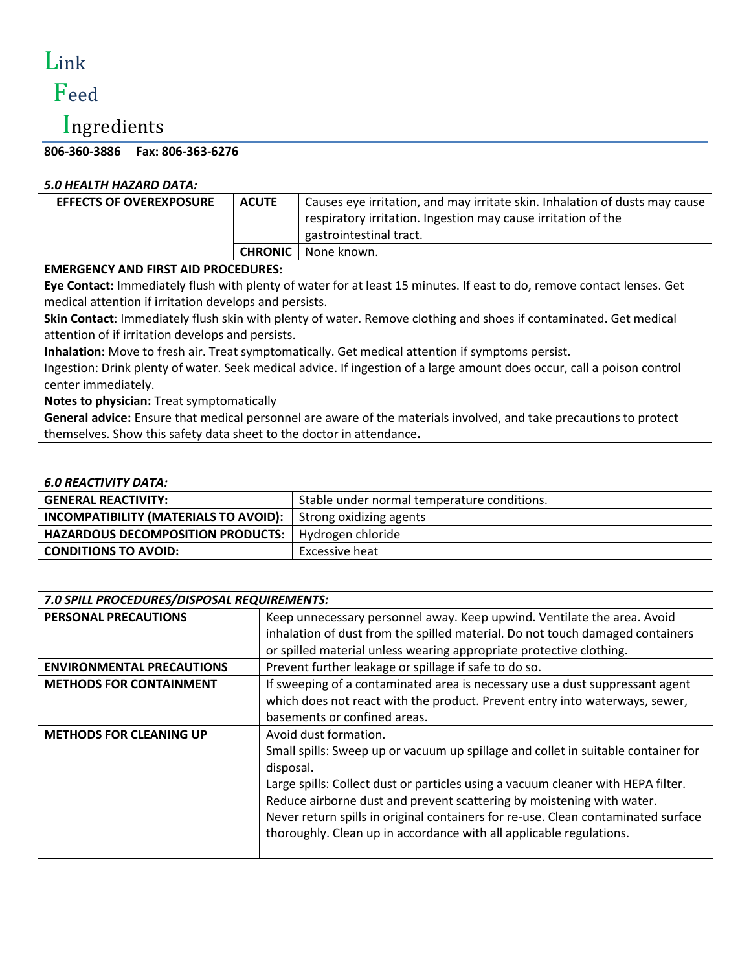# Link

## Feed

### Ingredients

**806-360-3886 Fax: 806-363-6276** 

| 5.0 HEALTH HAZARD DATA:                                                                                                 |                |                                                                                                                        |  |
|-------------------------------------------------------------------------------------------------------------------------|----------------|------------------------------------------------------------------------------------------------------------------------|--|
| <b>EFFECTS OF OVEREXPOSURE</b>                                                                                          | <b>ACUTE</b>   | Causes eye irritation, and may irritate skin. Inhalation of dusts may cause                                            |  |
|                                                                                                                         |                | respiratory irritation. Ingestion may cause irritation of the                                                          |  |
|                                                                                                                         |                | gastrointestinal tract.                                                                                                |  |
|                                                                                                                         | <b>CHRONIC</b> | None known.                                                                                                            |  |
| <b>EMERGENCY AND FIRST AID PROCEDURES:</b>                                                                              |                |                                                                                                                        |  |
|                                                                                                                         |                | Eye Contact: Immediately flush with plenty of water for at least 15 minutes. If east to do, remove contact lenses. Get |  |
| medical attention if irritation develops and persists.                                                                  |                |                                                                                                                        |  |
|                                                                                                                         |                | Skin Contact: Immediately flush skin with plenty of water. Remove clothing and shoes if contaminated. Get medical      |  |
| attention of if irritation develops and persists.                                                                       |                |                                                                                                                        |  |
| Inhalation: Move to fresh air. Treat symptomatically. Get medical attention if symptoms persist.                        |                |                                                                                                                        |  |
| Ingestion: Drink plenty of water. Seek medical advice. If ingestion of a large amount does occur, call a poison control |                |                                                                                                                        |  |
| center immediately.                                                                                                     |                |                                                                                                                        |  |
| Notes to physician: Treat symptomatically                                                                               |                |                                                                                                                        |  |
| General advice: Ensure that medical personnel are aware of the materials involved, and take precautions to protect      |                |                                                                                                                        |  |
| themselves. Show this safety data sheet to the doctor in attendance.                                                    |                |                                                                                                                        |  |

| Stable under normal temperature conditions.                   |
|---------------------------------------------------------------|
| Strong oxidizing agents                                       |
| Hydrogen chloride<br><b>HAZARDOUS DECOMPOSITION PRODUCTS:</b> |
| <b>Excessive heat</b>                                         |
|                                                               |

| 7.0 SPILL PROCEDURES/DISPOSAL REQUIREMENTS: |                                                                                                                                                                                                                                                                                                                                                                                                                                                  |  |
|---------------------------------------------|--------------------------------------------------------------------------------------------------------------------------------------------------------------------------------------------------------------------------------------------------------------------------------------------------------------------------------------------------------------------------------------------------------------------------------------------------|--|
| <b>PERSONAL PRECAUTIONS</b>                 | Keep unnecessary personnel away. Keep upwind. Ventilate the area. Avoid<br>inhalation of dust from the spilled material. Do not touch damaged containers<br>or spilled material unless wearing appropriate protective clothing.                                                                                                                                                                                                                  |  |
| <b>ENVIRONMENTAL PRECAUTIONS</b>            | Prevent further leakage or spillage if safe to do so.                                                                                                                                                                                                                                                                                                                                                                                            |  |
| <b>METHODS FOR CONTAINMENT</b>              | If sweeping of a contaminated area is necessary use a dust suppressant agent<br>which does not react with the product. Prevent entry into waterways, sewer,<br>basements or confined areas.                                                                                                                                                                                                                                                      |  |
| <b>METHODS FOR CLEANING UP</b>              | Avoid dust formation.<br>Small spills: Sweep up or vacuum up spillage and collet in suitable container for<br>disposal.<br>Large spills: Collect dust or particles using a vacuum cleaner with HEPA filter.<br>Reduce airborne dust and prevent scattering by moistening with water.<br>Never return spills in original containers for re-use. Clean contaminated surface<br>thoroughly. Clean up in accordance with all applicable regulations. |  |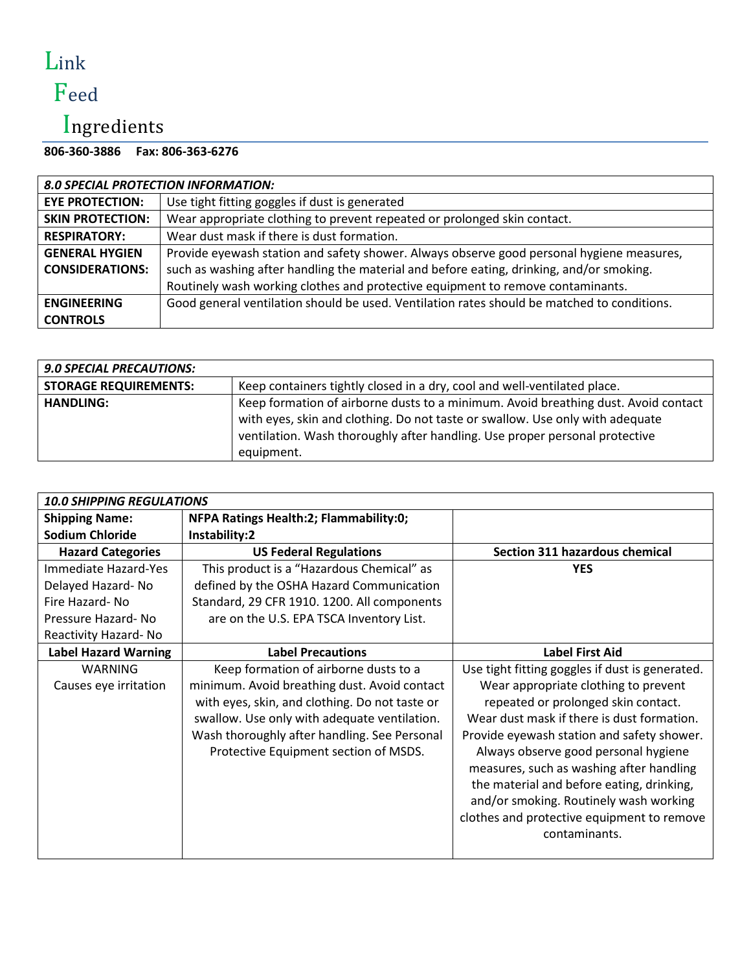## Link Feed

### Ingredients

#### **806-360-3886 Fax: 806-363-6276**

| <b>8.0 SPECIAL PROTECTION INFORMATION:</b> |                                                                                             |  |
|--------------------------------------------|---------------------------------------------------------------------------------------------|--|
| <b>EYE PROTECTION:</b>                     | Use tight fitting goggles if dust is generated                                              |  |
| <b>SKIN PROTECTION:</b>                    | Wear appropriate clothing to prevent repeated or prolonged skin contact.                    |  |
| <b>RESPIRATORY:</b>                        | Wear dust mask if there is dust formation.                                                  |  |
| <b>GENERAL HYGIEN</b>                      | Provide eyewash station and safety shower. Always observe good personal hygiene measures,   |  |
| <b>CONSIDERATIONS:</b>                     | such as washing after handling the material and before eating, drinking, and/or smoking.    |  |
|                                            | Routinely wash working clothes and protective equipment to remove contaminants.             |  |
| <b>ENGINEERING</b>                         | Good general ventilation should be used. Ventilation rates should be matched to conditions. |  |
| <b>CONTROLS</b>                            |                                                                                             |  |

| <b>9.0 SPECIAL PRECAUTIONS:</b> |                                                                                                                                                                                                                                                                  |
|---------------------------------|------------------------------------------------------------------------------------------------------------------------------------------------------------------------------------------------------------------------------------------------------------------|
| <b>STORAGE REQUIREMENTS:</b>    | Keep containers tightly closed in a dry, cool and well-ventilated place.                                                                                                                                                                                         |
| <b>HANDLING:</b>                | Keep formation of airborne dusts to a minimum. Avoid breathing dust. Avoid contact<br>with eyes, skin and clothing. Do not taste or swallow. Use only with adequate<br>ventilation. Wash thoroughly after handling. Use proper personal protective<br>equipment. |

| <b>10.0 SHIPPING REGULATIONS</b> |                                                |                                                 |
|----------------------------------|------------------------------------------------|-------------------------------------------------|
| <b>Shipping Name:</b>            | NFPA Ratings Health:2; Flammability:0;         |                                                 |
| <b>Sodium Chloride</b>           | Instability:2                                  |                                                 |
| <b>Hazard Categories</b>         | <b>US Federal Regulations</b>                  | Section 311 hazardous chemical                  |
| Immediate Hazard-Yes             | This product is a "Hazardous Chemical" as      | <b>YES</b>                                      |
| Delayed Hazard-No                | defined by the OSHA Hazard Communication       |                                                 |
| Fire Hazard-No                   | Standard, 29 CFR 1910. 1200. All components    |                                                 |
| Pressure Hazard-No               | are on the U.S. EPA TSCA Inventory List.       |                                                 |
| Reactivity Hazard-No             |                                                |                                                 |
| <b>Label Hazard Warning</b>      | <b>Label Precautions</b>                       | <b>Label First Aid</b>                          |
| WARNING                          | Keep formation of airborne dusts to a          | Use tight fitting goggles if dust is generated. |
| Causes eye irritation            | minimum. Avoid breathing dust. Avoid contact   | Wear appropriate clothing to prevent            |
|                                  | with eyes, skin, and clothing. Do not taste or | repeated or prolonged skin contact.             |
|                                  | swallow. Use only with adequate ventilation.   | Wear dust mask if there is dust formation.      |
|                                  | Wash thoroughly after handling. See Personal   | Provide eyewash station and safety shower.      |
|                                  | Protective Equipment section of MSDS.          | Always observe good personal hygiene            |
|                                  |                                                | measures, such as washing after handling        |
|                                  |                                                | the material and before eating, drinking,       |
|                                  |                                                | and/or smoking. Routinely wash working          |
|                                  |                                                | clothes and protective equipment to remove      |
|                                  |                                                | contaminants.                                   |